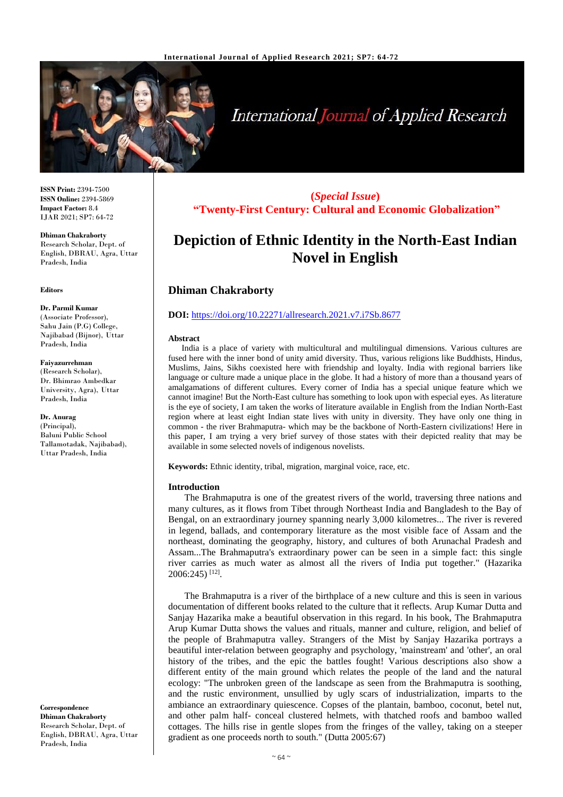

# **International Journal of Applied Research**

**ISSN Print:** 2394-7500 **ISSN Online:** 2394-5869 **Impact Factor:** 8.4 IJAR 2021; SP7: 64-72

**Dhiman Chakraborty** Research Scholar, Dept. of English, DBRAU, Agra, Uttar Pradesh, India

#### **Editors**

**Dr. Parmil Kumar** (Associate Professor), Sahu Jain (P.G) College, Najibabad (Bijnor), Uttar Pradesh, India

### **Faiyazurrehman**

(Research Scholar), Dr. Bhimrao Ambedkar University, Agra), Uttar Pradesh, India

**Dr. Anurag** (Principal), Baluni Public School Tallamotadak, Najibabad), Uttar Pradesh, India

**Correspondence Dhiman Chakraborty** Research Scholar, Dept. of English, DBRAU, Agra, Uttar Pradesh, India

**(***Special Issue***) "Twenty-First Century: Cultural and Economic Globalization"**

# **Depiction of Ethnic Identity in the North-East Indian Novel in English**

# **Dhiman Chakraborty**

# **DOI:** <https://doi.org/10.22271/allresearch.2021.v7.i7Sb.8677>

## **Abstract**

India is a place of variety with multicultural and multilingual dimensions. Various cultures are fused here with the inner bond of unity amid diversity. Thus, various religions like Buddhists, Hindus, Muslims, Jains, Sikhs coexisted here with friendship and loyalty. India with regional barriers like language or culture made a unique place in the globe. It had a history of more than a thousand years of amalgamations of different cultures. Every corner of India has a special unique feature which we cannot imagine! But the North-East culture has something to look upon with especial eyes. As literature is the eye of society, I am taken the works of literature available in English from the Indian North-East region where at least eight Indian state lives with unity in diversity. They have only one thing in common - the river Brahmaputra- which may be the backbone of North-Eastern civilizations! Here in this paper, I am trying a very brief survey of those states with their depicted reality that may be available in some selected novels of indigenous novelists.

**Keywords:** Ethnic identity, tribal, migration, marginal voice, race, etc.

# **Introduction**

The Brahmaputra is one of the greatest rivers of the world, traversing three nations and many cultures, as it flows from Tibet through Northeast India and Bangladesh to the Bay of Bengal, on an extraordinary journey spanning nearly 3,000 kilometres... The river is revered in legend, ballads, and contemporary literature as the most visible face of Assam and the northeast, dominating the geography, history, and cultures of both Arunachal Pradesh and Assam...The Brahmaputra's extraordinary power can be seen in a simple fact: this single river carries as much water as almost all the rivers of India put together." (Hazarika 2006:245) [12] .

The Brahmaputra is a river of the birthplace of a new culture and this is seen in various documentation of different books related to the culture that it reflects. Arup Kumar Dutta and Sanjay Hazarika make a beautiful observation in this regard. In his book, The Brahmaputra Arup Kumar Dutta shows the values and rituals, manner and culture, religion, and belief of the people of Brahmaputra valley. Strangers of the Mist by Sanjay Hazarika portrays a beautiful inter-relation between geography and psychology, 'mainstream' and 'other', an oral history of the tribes, and the epic the battles fought! Various descriptions also show a different entity of the main ground which relates the people of the land and the natural ecology: "The unbroken green of the landscape as seen from the Brahmaputra is soothing, and the rustic environment, unsullied by ugly scars of industrialization, imparts to the ambiance an extraordinary quiescence. Copses of the plantain, bamboo, coconut, betel nut, and other palm half- conceal clustered helmets, with thatched roofs and bamboo walled cottages. The hills rise in gentle slopes from the fringes of the valley, taking on a steeper gradient as one proceeds north to south." (Dutta 2005:67)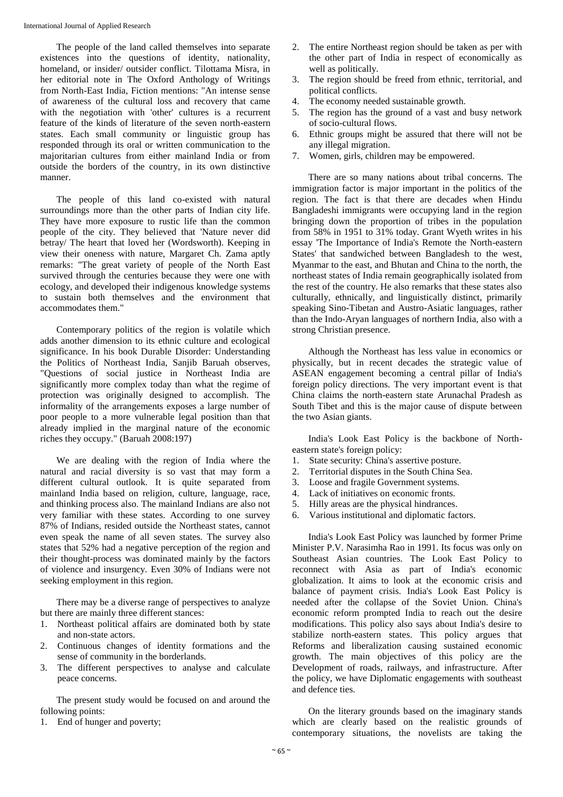The people of the land called themselves into separate existences into the questions of identity, nationality, homeland, or insider/ outsider conflict. Tilottama Misra, in her editorial note in The Oxford Anthology of Writings from North-East India, Fiction mentions: "An intense sense of awareness of the cultural loss and recovery that came with the negotiation with 'other' cultures is a recurrent feature of the kinds of literature of the seven north-eastern states. Each small community or linguistic group has responded through its oral or written communication to the majoritarian cultures from either mainland India or from outside the borders of the country, in its own distinctive manner.

The people of this land co-existed with natural surroundings more than the other parts of Indian city life. They have more exposure to rustic life than the common people of the city. They believed that 'Nature never did betray/ The heart that loved her (Wordsworth). Keeping in view their oneness with nature, Margaret Ch. Zama aptly remarks: "The great variety of people of the North East survived through the centuries because they were one with ecology, and developed their indigenous knowledge systems to sustain both themselves and the environment that accommodates them."

Contemporary politics of the region is volatile which adds another dimension to its ethnic culture and ecological significance. In his book Durable Disorder: Understanding the Politics of Northeast India, Sanjib Baruah observes, "Questions of social justice in Northeast India are significantly more complex today than what the regime of protection was originally designed to accomplish. The informality of the arrangements exposes a large number of poor people to a more vulnerable legal position than that already implied in the marginal nature of the economic riches they occupy." (Baruah 2008:197)

We are dealing with the region of India where the natural and racial diversity is so vast that may form a different cultural outlook. It is quite separated from mainland India based on religion, culture, language, race, and thinking process also. The mainland Indians are also not very familiar with these states. According to one survey 87% of Indians, resided outside the Northeast states, cannot even speak the name of all seven states. The survey also states that 52% had a negative perception of the region and their thought-process was dominated mainly by the factors of violence and insurgency. Even 30% of Indians were not seeking employment in this region.

There may be a diverse range of perspectives to analyze but there are mainly three different stances:

- 1. Northeast political affairs are dominated both by state and non-state actors.
- 2. Continuous changes of identity formations and the sense of community in the borderlands.
- 3. The different perspectives to analyse and calculate peace concerns.

The present study would be focused on and around the following points:

1. End of hunger and poverty;

- 2. The entire Northeast region should be taken as per with the other part of India in respect of economically as well as politically.
- 3. The region should be freed from ethnic, territorial, and political conflicts.
- 4. The economy needed sustainable growth.
- 5. The region has the ground of a vast and busy network of socio-cultural flows.
- 6. Ethnic groups might be assured that there will not be any illegal migration.
- 7. Women, girls, children may be empowered.

There are so many nations about tribal concerns. The immigration factor is major important in the politics of the region. The fact is that there are decades when Hindu Bangladeshi immigrants were occupying land in the region bringing down the proportion of tribes in the population from 58% in 1951 to 31% today. Grant Wyeth writes in his essay 'The Importance of India's Remote the North-eastern States' that sandwiched between Bangladesh to the west, Myanmar to the east, and Bhutan and China to the north, the northeast states of India remain geographically isolated from the rest of the country. He also remarks that these states also culturally, ethnically, and linguistically distinct, primarily speaking Sino-Tibetan and Austro-Asiatic languages, rather than the Indo-Aryan languages of northern India, also with a strong Christian presence.

Although the Northeast has less value in economics or physically, but in recent decades the strategic value of ASEAN engagement becoming a central pillar of India's foreign policy directions. The very important event is that China claims the north-eastern state Arunachal Pradesh as South Tibet and this is the major cause of dispute between the two Asian giants.

India's Look East Policy is the backbone of Northeastern state's foreign policy:

- 1. State security: China's assertive posture.
- 2. Territorial disputes in the South China Sea.
- 3. Loose and fragile Government systems.
- 4. Lack of initiatives on economic fronts.
- 5. Hilly areas are the physical hindrances.
- 6. Various institutional and diplomatic factors.

India's Look East Policy was launched by former Prime Minister P.V. Narasimha Rao in 1991. Its focus was only on Southeast Asian countries. The Look East Policy to reconnect with Asia as part of India's economic globalization. It aims to look at the economic crisis and balance of payment crisis. India's Look East Policy is needed after the collapse of the Soviet Union. China's economic reform prompted India to reach out the desire modifications. This policy also says about India's desire to stabilize north-eastern states. This policy argues that Reforms and liberalization causing sustained economic growth. The main objectives of this policy are the Development of roads, railways, and infrastructure. After the policy, we have Diplomatic engagements with southeast and defence ties.

On the literary grounds based on the imaginary stands which are clearly based on the realistic grounds of contemporary situations, the novelists are taking the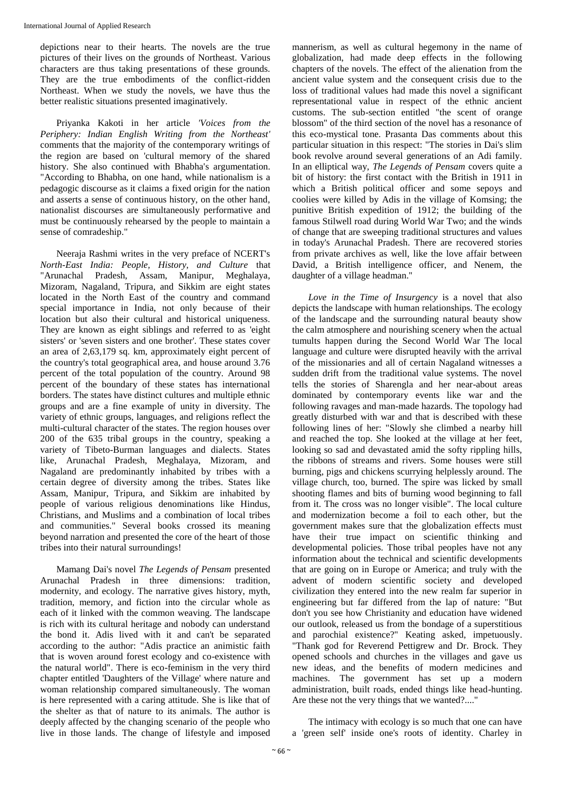depictions near to their hearts. The novels are the true pictures of their lives on the grounds of Northeast. Various characters are thus taking presentations of these grounds. They are the true embodiments of the conflict-ridden Northeast. When we study the novels, we have thus the better realistic situations presented imaginatively.

Priyanka Kakoti in her article *'Voices from the Periphery: Indian English Writing from the Northeast'* comments that the majority of the contemporary writings of the region are based on 'cultural memory of the shared history. She also continued with Bhabha's argumentation. "According to Bhabha, on one hand, while nationalism is a pedagogic discourse as it claims a fixed origin for the nation and asserts a sense of continuous history, on the other hand, nationalist discourses are simultaneously performative and must be continuously rehearsed by the people to maintain a sense of comradeship."

Neeraja Rashmi writes in the very preface of NCERT's *North-East India: People, History, and Culture* that "Arunachal Pradesh, Assam, Manipur, Meghalaya, Mizoram, Nagaland, Tripura, and Sikkim are eight states located in the North East of the country and command special importance in India, not only because of their location but also their cultural and historical uniqueness. They are known as eight siblings and referred to as 'eight sisters' or 'seven sisters and one brother'. These states cover an area of 2,63,179 sq. km, approximately eight percent of the country's total geographical area, and house around 3.76 percent of the total population of the country. Around 98 percent of the boundary of these states has international borders. The states have distinct cultures and multiple ethnic groups and are a fine example of unity in diversity. The variety of ethnic groups, languages, and religions reflect the multi-cultural character of the states. The region houses over 200 of the 635 tribal groups in the country, speaking a variety of Tibeto-Burman languages and dialects. States like, Arunachal Pradesh, Meghalaya, Mizoram, and Nagaland are predominantly inhabited by tribes with a certain degree of diversity among the tribes. States like Assam, Manipur, Tripura, and Sikkim are inhabited by people of various religious denominations like Hindus, Christians, and Muslims and a combination of local tribes and communities." Several books crossed its meaning beyond narration and presented the core of the heart of those tribes into their natural surroundings!

Mamang Dai's novel *The Legends of Pensam* presented Arunachal Pradesh in three dimensions: tradition, modernity, and ecology. The narrative gives history, myth, tradition, memory, and fiction into the circular whole as each of it linked with the common weaving. The landscape is rich with its cultural heritage and nobody can understand the bond it. Adis lived with it and can't be separated according to the author: "Adis practice an animistic faith that is woven around forest ecology and co-existence with the natural world". There is eco-feminism in the very third chapter entitled 'Daughters of the Village' where nature and woman relationship compared simultaneously. The woman is here represented with a caring attitude. She is like that of the shelter as that of nature to its animals. The author is deeply affected by the changing scenario of the people who live in those lands. The change of lifestyle and imposed

mannerism, as well as cultural hegemony in the name of globalization, had made deep effects in the following chapters of the novels. The effect of the alienation from the ancient value system and the consequent crisis due to the loss of traditional values had made this novel a significant representational value in respect of the ethnic ancient customs. The sub-section entitled "the scent of orange blossom" of the third section of the novel has a resonance of this eco-mystical tone. Prasanta Das comments about this particular situation in this respect: "The stories in Dai's slim book revolve around several generations of an Adi family. In an elliptical way, *The Legends of Pensam* covers quite a bit of history: the first contact with the British in 1911 in which a British political officer and some sepoys and coolies were killed by Adis in the village of Komsing; the punitive British expedition of 1912; the building of the famous Stilwell road during World War Two; and the winds of change that are sweeping traditional structures and values in today's Arunachal Pradesh. There are recovered stories from private archives as well, like the love affair between David, a British intelligence officer, and Nenem, the daughter of a village headman.''

*Love in the Time of Insurgency* is a novel that also depicts the landscape with human relationships. The ecology of the landscape and the surrounding natural beauty show the calm atmosphere and nourishing scenery when the actual tumults happen during the Second World War The local language and culture were disrupted heavily with the arrival of the missionaries and all of certain Nagaland witnesses a sudden drift from the traditional value systems. The novel tells the stories of Sharengla and her near-about areas dominated by contemporary events like war and the following ravages and man-made hazards. The topology had greatly disturbed with war and that is described with these following lines of her: "Slowly she climbed a nearby hill and reached the top. She looked at the village at her feet, looking so sad and devastated amid the softy rippling hills, the ribbons of streams and rivers. Some houses were still burning, pigs and chickens scurrying helplessly around. The village church, too, burned. The spire was licked by small shooting flames and bits of burning wood beginning to fall from it. The cross was no longer visible". The local culture and modernization become a foil to each other, but the government makes sure that the globalization effects must have their true impact on scientific thinking and developmental policies. Those tribal peoples have not any information about the technical and scientific developments that are going on in Europe or America; and truly with the advent of modern scientific society and developed civilization they entered into the new realm far superior in engineering but far differed from the lap of nature: "But don't you see how Christianity and education have widened our outlook, released us from the bondage of a superstitious and parochial existence?" Keating asked, impetuously. "Thank god for Reverend Pettigrew and Dr. Brock. They opened schools and churches in the villages and gave us new ideas, and the benefits of modern medicines and machines. The government has set up a modern administration, built roads, ended things like head-hunting. Are these not the very things that we wanted?...."

The intimacy with ecology is so much that one can have a 'green self' inside one's roots of identity. Charley in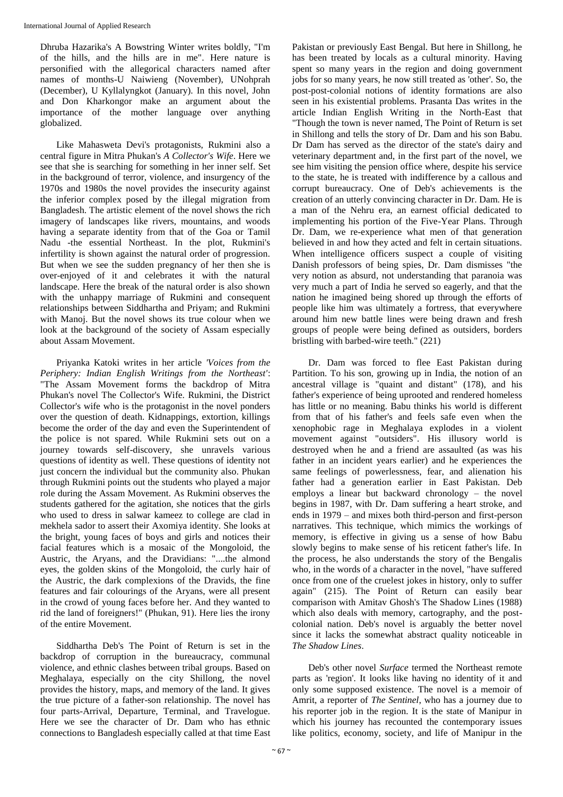Dhruba Hazarika's A Bowstring Winter writes boldly, "I'm of the hills, and the hills are in me". Here nature is personified with the allegorical characters named after names of months-U Naiwieng (November), UNohprah (December), U Kyllalyngkot (January). In this novel, John and Don Kharkongor make an argument about the importance of the mother language over anything globalized.

Like Mahasweta Devi's protagonists, Rukmini also a central figure in Mitra Phukan's *A Collector's Wife*. Here we see that she is searching for something in her inner self. Set in the background of terror, violence, and insurgency of the 1970s and 1980s the novel provides the insecurity against the inferior complex posed by the illegal migration from Bangladesh. The artistic element of the novel shows the rich imagery of landscapes like rivers, mountains, and woods having a separate identity from that of the Goa or Tamil Nadu -the essential Northeast. In the plot, Rukmini's infertility is shown against the natural order of progression. But when we see the sudden pregnancy of her then she is over-enjoyed of it and celebrates it with the natural landscape. Here the break of the natural order is also shown with the unhappy marriage of Rukmini and consequent relationships between Siddhartha and Priyam; and Rukmini with Manoj. But the novel shows its true colour when we look at the background of the society of Assam especially about Assam Movement.

Priyanka Katoki writes in her article *'Voices from the Periphery: Indian English Writings from the Northeast'*: "The Assam Movement forms the backdrop of Mitra Phukan's novel The Collector's Wife. Rukmini, the District Collector's wife who is the protagonist in the novel ponders over the question of death. Kidnappings, extortion, killings become the order of the day and even the Superintendent of the police is not spared. While Rukmini sets out on a journey towards self-discovery, she unravels various questions of identity as well. These questions of identity not just concern the individual but the community also. Phukan through Rukmini points out the students who played a major role during the Assam Movement. As Rukmini observes the students gathered for the agitation, she notices that the girls who used to dress in salwar kameez to college are clad in mekhela sador to assert their Axomiya identity. She looks at the bright, young faces of boys and girls and notices their facial features which is a mosaic of the Mongoloid, the Austric, the Aryans, and the Dravidians: "....the almond eyes, the golden skins of the Mongoloid, the curly hair of the Austric, the dark complexions of the Dravids, the fine features and fair colourings of the Aryans, were all present in the crowd of young faces before her. And they wanted to rid the land of foreigners!" (Phukan, 91). Here lies the irony of the entire Movement.

Siddhartha Deb's The Point of Return is set in the backdrop of corruption in the bureaucracy, communal violence, and ethnic clashes between tribal groups. Based on Meghalaya, especially on the city Shillong, the novel provides the history, maps, and memory of the land. It gives the true picture of a father-son relationship. The novel has four parts-Arrival, Departure, Terminal, and Travelogue. Here we see the character of Dr. Dam who has ethnic connections to Bangladesh especially called at that time East

Pakistan or previously East Bengal. But here in Shillong, he has been treated by locals as a cultural minority. Having spent so many years in the region and doing government jobs for so many years, he now still treated as 'other'. So, the post-post-colonial notions of identity formations are also seen in his existential problems. Prasanta Das writes in the article Indian English Writing in the North-East that "Though the town is never named, The Point of Return is set in Shillong and tells the story of Dr. Dam and his son Babu. Dr Dam has served as the director of the state's dairy and veterinary department and, in the first part of the novel, we see him visiting the pension office where, despite his service to the state, he is treated with indifference by a callous and corrupt bureaucracy. One of Deb's achievements is the creation of an utterly convincing character in Dr. Dam. He is a man of the Nehru era, an earnest official dedicated to implementing his portion of the Five-Year Plans. Through Dr. Dam, we re-experience what men of that generation believed in and how they acted and felt in certain situations. When intelligence officers suspect a couple of visiting Danish professors of being spies, Dr. Dam dismisses "the very notion as absurd, not understanding that paranoia was very much a part of India he served so eagerly, and that the nation he imagined being shored up through the efforts of people like him was ultimately a fortress, that everywhere around him new battle lines were being drawn and fresh groups of people were being defined as outsiders, borders bristling with barbed-wire teeth." (221)

Dr. Dam was forced to flee East Pakistan during Partition. To his son, growing up in India, the notion of an ancestral village is "quaint and distant" (178), and his father's experience of being uprooted and rendered homeless has little or no meaning. Babu thinks his world is different from that of his father's and feels safe even when the xenophobic rage in Meghalaya explodes in a violent movement against "outsiders". His illusory world is destroyed when he and a friend are assaulted (as was his father in an incident years earlier) and he experiences the same feelings of powerlessness, fear, and alienation his father had a generation earlier in East Pakistan. Deb employs a linear but backward chronology – the novel begins in 1987, with Dr. Dam suffering a heart stroke, and ends in 1979 – and mixes both third-person and first-person narratives. This technique, which mimics the workings of memory, is effective in giving us a sense of how Babu slowly begins to make sense of his reticent father's life. In the process, he also understands the story of the Bengalis who, in the words of a character in the novel, "have suffered once from one of the cruelest jokes in history, only to suffer again" (215). The Point of Return can easily bear comparison with Amitav Ghosh's The Shadow Lines (1988) which also deals with memory, cartography, and the postcolonial nation. Deb's novel is arguably the better novel since it lacks the somewhat abstract quality noticeable in *The Shadow Lines*.

Deb's other novel *Surface* termed the Northeast remote parts as 'region'. It looks like having no identity of it and only some supposed existence. The novel is a memoir of Amrit, a reporter of *The Sentinel*, who has a journey due to his reporter job in the region. It is the state of Manipur in which his journey has recounted the contemporary issues like politics, economy, society, and life of Manipur in the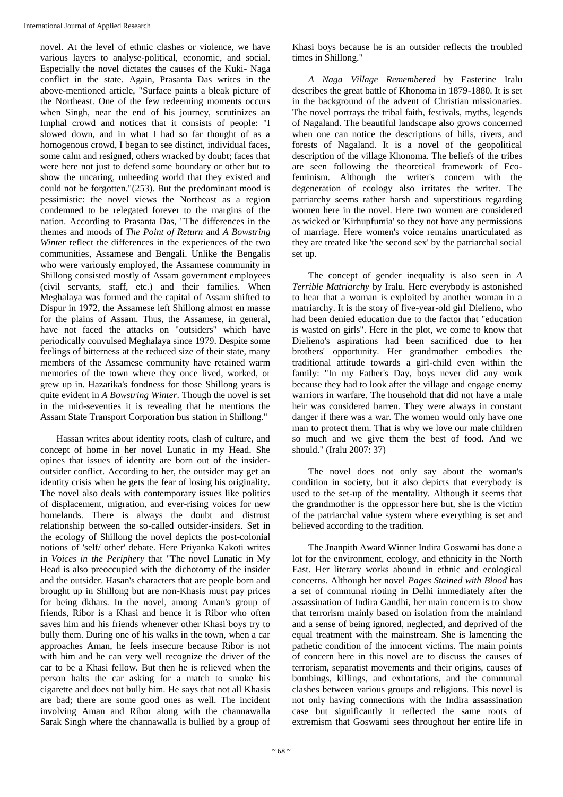novel. At the level of ethnic clashes or violence, we have various layers to analyse-political, economic, and social. Especially the novel dictates the causes of the Kuki- Naga conflict in the state. Again, Prasanta Das writes in the above-mentioned article, "Surface paints a bleak picture of the Northeast. One of the few redeeming moments occurs when Singh, near the end of his journey, scrutinizes an Imphal crowd and notices that it consists of people: "I slowed down, and in what I had so far thought of as a homogenous crowd, I began to see distinct, individual faces, some calm and resigned, others wracked by doubt; faces that were here not just to defend some boundary or other but to show the uncaring, unheeding world that they existed and could not be forgotten."(253). But the predominant mood is pessimistic: the novel views the Northeast as a region condemned to be relegated forever to the margins of the nation. According to Prasanta Das, "The differences in the themes and moods of *The Point of Return* and *A Bowstring Winter* reflect the differences in the experiences of the two communities, Assamese and Bengali. Unlike the Bengalis who were variously employed, the Assamese community in Shillong consisted mostly of Assam government employees (civil servants, staff, etc.) and their families. When Meghalaya was formed and the capital of Assam shifted to Dispur in 1972, the Assamese left Shillong almost en masse for the plains of Assam. Thus, the Assamese, in general, have not faced the attacks on "outsiders" which have periodically convulsed Meghalaya since 1979. Despite some feelings of bitterness at the reduced size of their state, many members of the Assamese community have retained warm memories of the town where they once lived, worked, or grew up in. Hazarika's fondness for those Shillong years is quite evident in *A Bowstring Winter*. Though the novel is set in the mid-seventies it is revealing that he mentions the Assam State Transport Corporation bus station in Shillong."

Hassan writes about identity roots, clash of culture, and concept of home in her novel Lunatic in my Head. She opines that issues of identity are born out of the insideroutsider conflict. According to her, the outsider may get an identity crisis when he gets the fear of losing his originality. The novel also deals with contemporary issues like politics of displacement, migration, and ever-rising voices for new homelands. There is always the doubt and distrust relationship between the so-called outsider-insiders. Set in the ecology of Shillong the novel depicts the post-colonial notions of 'self/ other' debate. Here Priyanka Kakoti writes in *Voices in the Periphery* that "The novel Lunatic in My Head is also preoccupied with the dichotomy of the insider and the outsider. Hasan's characters that are people born and brought up in Shillong but are non-Khasis must pay prices for being dkhars. In the novel, among Aman's group of friends, Ribor is a Khasi and hence it is Ribor who often saves him and his friends whenever other Khasi boys try to bully them. During one of his walks in the town, when a car approaches Aman, he feels insecure because Ribor is not with him and he can very well recognize the driver of the car to be a Khasi fellow. But then he is relieved when the person halts the car asking for a match to smoke his cigarette and does not bully him. He says that not all Khasis are bad; there are some good ones as well. The incident involving Aman and Ribor along with the channawalla Sarak Singh where the channawalla is bullied by a group of

Khasi boys because he is an outsider reflects the troubled times in Shillong."

*A Naga Village Remembered* by Easterine Iralu describes the great battle of Khonoma in 1879-1880. It is set in the background of the advent of Christian missionaries. The novel portrays the tribal faith, festivals, myths, legends of Nagaland. The beautiful landscape also grows concerned when one can notice the descriptions of hills, rivers, and forests of Nagaland. It is a novel of the geopolitical description of the village Khonoma. The beliefs of the tribes are seen following the theoretical framework of Ecofeminism. Although the writer's concern with the degeneration of ecology also irritates the writer. The patriarchy seems rather harsh and superstitious regarding women here in the novel. Here two women are considered as wicked or 'Kirhupfumia' so they not have any permissions of marriage. Here women's voice remains unarticulated as they are treated like 'the second sex' by the patriarchal social set up.

The concept of gender inequality is also seen in *A Terrible Matriarchy* by Iralu. Here everybody is astonished to hear that a woman is exploited by another woman in a matriarchy. It is the story of five-year-old girl Dielieno, who had been denied education due to the factor that "education is wasted on girls". Here in the plot, we come to know that Dielieno's aspirations had been sacrificed due to her brothers' opportunity. Her grandmother embodies the traditional attitude towards a girl-child even within the family: "In my Father's Day, boys never did any work because they had to look after the village and engage enemy warriors in warfare. The household that did not have a male heir was considered barren. They were always in constant danger if there was a war. The women would only have one man to protect them. That is why we love our male children so much and we give them the best of food. And we should." (Iralu 2007: 37)

The novel does not only say about the woman's condition in society, but it also depicts that everybody is used to the set-up of the mentality. Although it seems that the grandmother is the oppressor here but, she is the victim of the patriarchal value system where everything is set and believed according to the tradition.

The Jnanpith Award Winner Indira Goswami has done a lot for the environment, ecology, and ethnicity in the North East. Her literary works abound in ethnic and ecological concerns. Although her novel *Pages Stained with Blood* has a set of communal rioting in Delhi immediately after the assassination of Indira Gandhi, her main concern is to show that terrorism mainly based on isolation from the mainland and a sense of being ignored, neglected, and deprived of the equal treatment with the mainstream. She is lamenting the pathetic condition of the innocent victims. The main points of concern here in this novel are to discuss the causes of terrorism, separatist movements and their origins, causes of bombings, killings, and exhortations, and the communal clashes between various groups and religions. This novel is not only having connections with the Indira assassination case but significantly it reflected the same roots of extremism that Goswami sees throughout her entire life in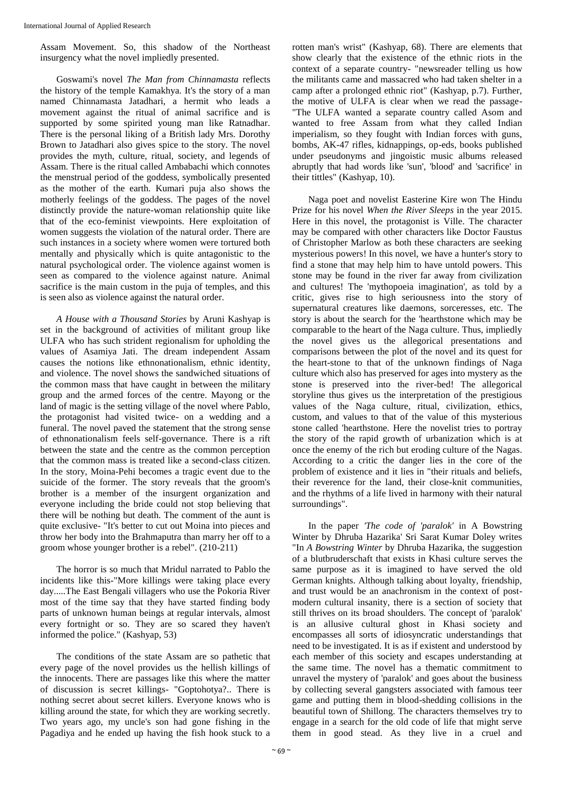Assam Movement. So, this shadow of the Northeast insurgency what the novel impliedly presented.

Goswami's novel *The Man from Chinnamasta* reflects the history of the temple Kamakhya. It's the story of a man named Chinnamasta Jatadhari, a hermit who leads a movement against the ritual of animal sacrifice and is supported by some spirited young man like Ratnadhar. There is the personal liking of a British lady Mrs. Dorothy Brown to Jatadhari also gives spice to the story. The novel provides the myth, culture, ritual, society, and legends of Assam. There is the ritual called Ambabachi which connotes the menstrual period of the goddess, symbolically presented as the mother of the earth. Kumari puja also shows the motherly feelings of the goddess. The pages of the novel distinctly provide the nature-woman relationship quite like that of the eco-feminist viewpoints. Here exploitation of women suggests the violation of the natural order. There are such instances in a society where women were tortured both mentally and physically which is quite antagonistic to the natural psychological order. The violence against women is seen as compared to the violence against nature. Animal sacrifice is the main custom in the puja of temples, and this is seen also as violence against the natural order.

*A House with a Thousand Stories* by Aruni Kashyap is set in the background of activities of militant group like ULFA who has such strident regionalism for upholding the values of Asamiya Jati. The dream independent Assam causes the notions like ethnonationalism, ethnic identity, and violence. The novel shows the sandwiched situations of the common mass that have caught in between the military group and the armed forces of the centre. Mayong or the land of magic is the setting village of the novel where Pablo, the protagonist had visited twice- on a wedding and a funeral. The novel paved the statement that the strong sense of ethnonationalism feels self-governance. There is a rift between the state and the centre as the common perception that the common mass is treated like a second-class citizen. In the story, Moina-Pehi becomes a tragic event due to the suicide of the former. The story reveals that the groom's brother is a member of the insurgent organization and everyone including the bride could not stop believing that there will be nothing but death. The comment of the aunt is quite exclusive- "It's better to cut out Moina into pieces and throw her body into the Brahmaputra than marry her off to a groom whose younger brother is a rebel". (210-211)

The horror is so much that Mridul narrated to Pablo the incidents like this-"More killings were taking place every day.....The East Bengali villagers who use the Pokoria River most of the time say that they have started finding body parts of unknown human beings at regular intervals, almost every fortnight or so. They are so scared they haven't informed the police." (Kashyap, 53)

The conditions of the state Assam are so pathetic that every page of the novel provides us the hellish killings of the innocents. There are passages like this where the matter of discussion is secret killings- "Goptohotya?.. There is nothing secret about secret killers. Everyone knows who is killing around the state, for which they are working secretly. Two years ago, my uncle's son had gone fishing in the Pagadiya and he ended up having the fish hook stuck to a rotten man's wrist" (Kashyap, 68). There are elements that show clearly that the existence of the ethnic riots in the context of a separate country- "newsreader telling us how the militants came and massacred who had taken shelter in a camp after a prolonged ethnic riot" (Kashyap, p.7). Further, the motive of ULFA is clear when we read the passage- "The ULFA wanted a separate country called Asom and wanted to free Assam from what they called Indian imperialism, so they fought with Indian forces with guns, bombs, AK-47 rifles, kidnappings, op-eds, books published under pseudonyms and jingoistic music albums released abruptly that had words like 'sun', 'blood' and 'sacrifice' in their tittles" (Kashyap, 10).

Naga poet and novelist Easterine Kire won The Hindu Prize for his novel *When the River Sleeps* in the year 2015. Here in this novel, the protagonist is Ville. The character may be compared with other characters like Doctor Faustus of Christopher Marlow as both these characters are seeking mysterious powers! In this novel, we have a hunter's story to find a stone that may help him to have untold powers. This stone may be found in the river far away from civilization and cultures! The 'mythopoeia imagination', as told by a critic, gives rise to high seriousness into the story of supernatural creatures like daemons, sorceresses, etc. The story is about the search for the 'hearthstone which may be comparable to the heart of the Naga culture. Thus, impliedly the novel gives us the allegorical presentations and comparisons between the plot of the novel and its quest for the heart-stone to that of the unknown findings of Naga culture which also has preserved for ages into mystery as the stone is preserved into the river-bed! The allegorical storyline thus gives us the interpretation of the prestigious values of the Naga culture, ritual, civilization, ethics, custom, and values to that of the value of this mysterious stone called 'hearthstone. Here the novelist tries to portray the story of the rapid growth of urbanization which is at once the enemy of the rich but eroding culture of the Nagas. According to a critic the danger lies in the core of the problem of existence and it lies in "their rituals and beliefs, their reverence for the land, their close-knit communities, and the rhythms of a life lived in harmony with their natural surroundings".

In the paper *'The code of 'paralok'* in A Bowstring Winter by Dhruba Hazarika' Sri Sarat Kumar Doley writes "In *A Bowstring Winter* by Dhruba Hazarika, the suggestion of a blutbruderschaft that exists in Khasi culture serves the same purpose as it is imagined to have served the old German knights. Although talking about loyalty, friendship, and trust would be an anachronism in the context of postmodern cultural insanity, there is a section of society that still thrives on its broad shoulders. The concept of 'paralok' is an allusive cultural ghost in Khasi society and encompasses all sorts of idiosyncratic understandings that need to be investigated. It is as if existent and understood by each member of this society and escapes understanding at the same time. The novel has a thematic commitment to unravel the mystery of 'paralok' and goes about the business by collecting several gangsters associated with famous teer game and putting them in blood-shedding collisions in the beautiful town of Shillong. The characters themselves try to engage in a search for the old code of life that might serve them in good stead. As they live in a cruel and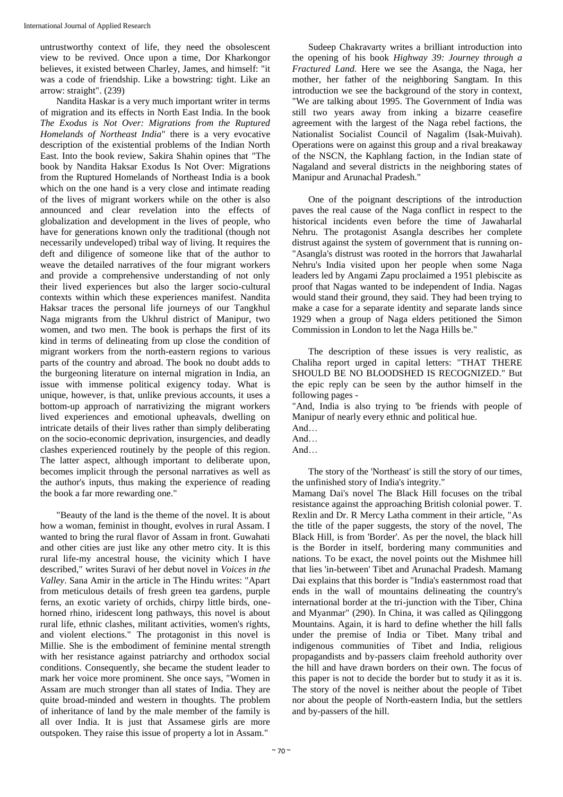untrustworthy context of life, they need the obsolescent view to be revived. Once upon a time, Dor Kharkongor believes, it existed between Charley, James, and himself: "it was a code of friendship. Like a bowstring: tight. Like an arrow: straight". (239)

Nandita Haskar is a very much important writer in terms of migration and its effects in North East India. In the book *The Exodus is Not Over: Migrations from the Ruptured Homelands of Northeast India*" there is a very evocative description of the existential problems of the Indian North East. Into the book review, Sakira Shahin opines that "The book by Nandita Haksar Exodus Is Not Over: Migrations from the Ruptured Homelands of Northeast India is a book which on the one hand is a very close and intimate reading of the lives of migrant workers while on the other is also announced and clear revelation into the effects of globalization and development in the lives of people, who have for generations known only the traditional (though not necessarily undeveloped) tribal way of living. It requires the deft and diligence of someone like that of the author to weave the detailed narratives of the four migrant workers and provide a comprehensive understanding of not only their lived experiences but also the larger socio-cultural contexts within which these experiences manifest. Nandita Haksar traces the personal life journeys of our Tangkhul Naga migrants from the Ukhrul district of Manipur, two women, and two men. The book is perhaps the first of its kind in terms of delineating from up close the condition of migrant workers from the north-eastern regions to various parts of the country and abroad. The book no doubt adds to the burgeoning literature on internal migration in India, an issue with immense political exigency today. What is unique, however, is that, unlike previous accounts, it uses a bottom-up approach of narrativizing the migrant workers lived experiences and emotional upheavals, dwelling on intricate details of their lives rather than simply deliberating on the socio-economic deprivation, insurgencies, and deadly clashes experienced routinely by the people of this region. The latter aspect, although important to deliberate upon, becomes implicit through the personal narratives as well as the author's inputs, thus making the experience of reading the book a far more rewarding one."

"Beauty of the land is the theme of the novel. It is about how a woman, feminist in thought, evolves in rural Assam. I wanted to bring the rural flavor of Assam in front. Guwahati and other cities are just like any other metro city. It is this rural life-my ancestral house, the vicinity which I have described," writes Suravi of her debut novel in *Voices in the Valley*. Sana Amir in the article in The Hindu writes: "Apart from meticulous details of fresh green tea gardens, purple ferns, an exotic variety of orchids, chirpy little birds, onehorned rhino, iridescent long pathways, this novel is about rural life, ethnic clashes, militant activities, women's rights, and violent elections." The protagonist in this novel is Millie. She is the embodiment of feminine mental strength with her resistance against patriarchy and orthodox social conditions. Consequently, she became the student leader to mark her voice more prominent. She once says, "Women in Assam are much stronger than all states of India. They are quite broad-minded and western in thoughts. The problem of inheritance of land by the male member of the family is all over India. It is just that Assamese girls are more outspoken. They raise this issue of property a lot in Assam."

Sudeep Chakravarty writes a brilliant introduction into the opening of his book *Highway 39: Journey through a Fractured Land.* Here we see the Asanga, the Naga, her mother, her father of the neighboring Sangtam. In this introduction we see the background of the story in context, "We are talking about 1995. The Government of India was still two years away from inking a bizarre ceasefire agreement with the largest of the Naga rebel factions, the Nationalist Socialist Council of Nagalim (Isak-Muivah). Operations were on against this group and a rival breakaway of the NSCN, the Kaphlang faction, in the Indian state of Nagaland and several districts in the neighboring states of Manipur and Arunachal Pradesh."

One of the poignant descriptions of the introduction paves the real cause of the Naga conflict in respect to the historical incidents even before the time of Jawaharlal Nehru. The protagonist Asangla describes her complete distrust against the system of government that is running on- "Asangla's distrust was rooted in the horrors that Jawaharlal Nehru's India visited upon her people when some Naga leaders led by Angami Zapu proclaimed a 1951 plebiscite as proof that Nagas wanted to be independent of India. Nagas would stand their ground, they said. They had been trying to make a case for a separate identity and separate lands since 1929 when a group of Naga elders petitioned the Simon Commission in London to let the Naga Hills be."

The description of these issues is very realistic, as Chaliha report urged in capital letters: "THAT THERE SHOULD BE NO BLOODSHED IS RECOGNIZED." But the epic reply can be seen by the author himself in the following pages -

"And, India is also trying to 'be friends with people of Manipur of nearly every ethnic and political hue.

- And…
- And…
- And…

The story of the 'Northeast' is still the story of our times, the unfinished story of India's integrity."

Mamang Dai's novel The Black Hill focuses on the tribal resistance against the approaching British colonial power. T. Rexlin and Dr. R Mercy Latha comment in their article, "As the title of the paper suggests, the story of the novel, The Black Hill, is from 'Border'. As per the novel, the black hill is the Border in itself, bordering many communities and nations. To be exact, the novel points out the Mishmee hill that lies 'in-between' Tibet and Arunachal Pradesh. Mamang Dai explains that this border is "India's easternmost road that ends in the wall of mountains delineating the country's international border at the tri-junction with the Tiber, China and Myanmar" (290). In China, it was called as Qilinggong Mountains. Again, it is hard to define whether the hill falls under the premise of India or Tibet. Many tribal and indigenous communities of Tibet and India, religious propagandists and by-passers claim freehold authority over the hill and have drawn borders on their own. The focus of this paper is not to decide the border but to study it as it is. The story of the novel is neither about the people of Tibet nor about the people of North-eastern India, but the settlers and by-passers of the hill.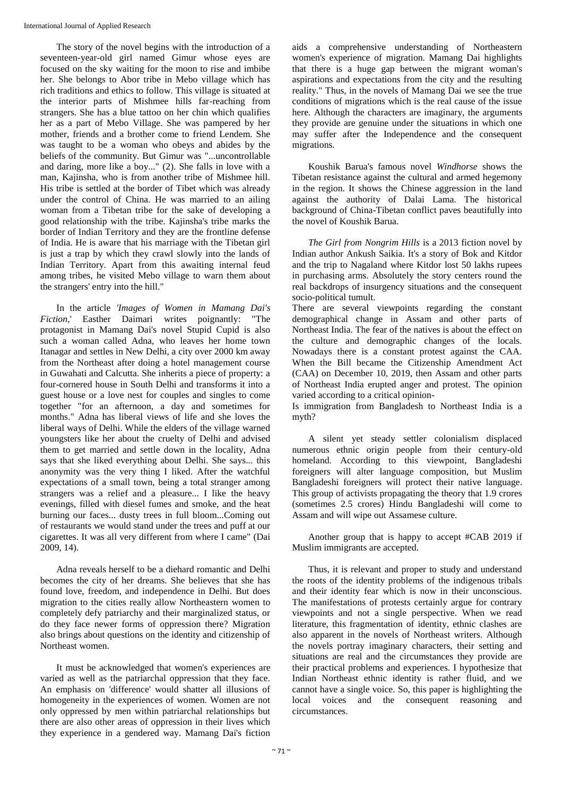The story of the novel begins with the introduction of a seventeen-year-old girl named Gimur whose eyes are focused on the sky waiting for the moon to rise and imbibe her. She belongs to Abor tribe in Mebo village which has rich traditions and ethics to follow. This village is situated at the interior parts of Mishmee hills far-reaching from strangers. She has a blue tattoo on her chin which qualifies her as a part of Mebo Village. She was pampered by her mother, friends and a brother come to friend Lendem. She was taught to be a woman who obeys and abides by the beliefs of the community. But Gimur was "...uncontrollable and daring, more like a boy..." (2). She falls in love with a man, Kajinsha, who is from another tribe of Mishmee hill. His tribe is settled at the border of Tibet which was already under the control of China. He was married to an ailing woman from a Tibetan tribe for the sake of developing a good relationship with the tribe. Kajinsha's tribe marks the border of Indian Territory and they are the frontline defense of India. He is aware that his marriage with the Tibetan girl is just a trap by which they crawl slowly into the lands of Indian Territory. Apart from this awaiting internal feud among tribes, he visited Mebo village to warn them about the strangers' entry into the hill."

In the article *'Images of Women in Mamang Dai's Fiction*,' Easther Daimari writes poignantly: "The protagonist in Mamang Dai's novel Stupid Cupid is also such a woman called Adna, who leaves her home town Itanagar and settles in New Delhi, a city over 2000 km away from the Northeast after doing a hotel management course in Guwahati and Calcutta. She inherits a piece of property: a four-cornered house in South Delhi and transforms it into a guest house or a love nest for couples and singles to come together "for an afternoon, a day and sometimes for months." Adna has liberal views of life and she loves the liberal ways of Delhi. While the elders of the village warned youngsters like her about the cruelty of Delhi and advised them to get married and settle down in the locality, Adna says that she liked everything about Delhi. She says... this anonymity was the very thing I liked. After the watchful expectations of a small town, being a total stranger among strangers was a relief and a pleasure... I like the heavy evenings, filled with diesel fumes and smoke, and the heat burning our faces... dusty trees in full bloom...Coming out of restaurants we would stand under the trees and puff at our cigarettes. It was all very different from where I came" (Dai 2009, 14).

Adna reveals herself to be a diehard romantic and Delhi becomes the city of her dreams. She believes that she has found love, freedom, and independence in Delhi. But does migration to the cities really allow Northeastern women to completely defy patriarchy and their marginalized status, or do they face newer forms of oppression there? Migration also brings about questions on the identity and citizenship of Northeast women.

It must be acknowledged that women's experiences are varied as well as the patriarchal oppression that they face. An emphasis on 'difference' would shatter all illusions of homogeneity in the experiences of women. Women are not only oppressed by men within patriarchal relationships but there are also other areas of oppression in their lives which they experience in a gendered way. Mamang Dai's fiction

aids a comprehensive understanding of Northeastern women's experience of migration. Mamang Dai highlights that there is a huge gap between the migrant woman's aspirations and expectations from the city and the resulting reality." Thus, in the novels of Mamang Dai we see the true conditions of migrations which is the real cause of the issue here. Although the characters are imaginary, the arguments they provide are genuine under the situations in which one may suffer after the Independence and the consequent migrations.

Koushik Barua's famous novel *Windhorse* shows the Tibetan resistance against the cultural and armed hegemony in the region. It shows the Chinese aggression in the land against the authority of Dalai Lama. The historical background of China-Tibetan conflict paves beautifully into the novel of Koushik Barua.

*The Girl from Nongrim Hills* is a 2013 fiction novel by Indian author Ankush Saikia. It's a story of Bok and Kitdor and the trip to Nagaland where Kitdor lost 50 lakhs rupees in purchasing arms. Absolutely the story centers round the real backdrops of insurgency situations and the consequent socio-political tumult.

There are several viewpoints regarding the constant demographical change in Assam and other parts of Northeast India. The fear of the natives is about the effect on the culture and demographic changes of the locals. Nowadays there is a constant protest against the CAA. When the Bill became the Citizenship Amendment Act (CAA) on December 10, 2019, then Assam and other parts of Northeast India erupted anger and protest. The opinion varied according to a critical opinion-

Is immigration from Bangladesh to Northeast India is a myth?

A silent yet steady settler colonialism displaced numerous ethnic origin people from their century-old homeland. According to this viewpoint, Bangladeshi foreigners will alter language composition, but Muslim Bangladeshi foreigners will protect their native language. This group of activists propagating the theory that 1.9 crores (sometimes 2.5 crores) Hindu Bangladeshi will come to Assam and will wipe out Assamese culture.

Another group that is happy to accept #CAB 2019 if Muslim immigrants are accepted.

Thus, it is relevant and proper to study and understand the roots of the identity problems of the indigenous tribals and their identity fear which is now in their unconscious. The manifestations of protests certainly argue for contrary viewpoints and not a single perspective. When we read literature, this fragmentation of identity, ethnic clashes are also apparent in the novels of Northeast writers. Although the novels portray imaginary characters, their setting and situations are real and the circumstances they provide are their practical problems and experiences. I hypothesize that Indian Northeast ethnic identity is rather fluid, and we cannot have a single voice. So, this paper is highlighting the local voices and the consequent reasoning and circumstances.